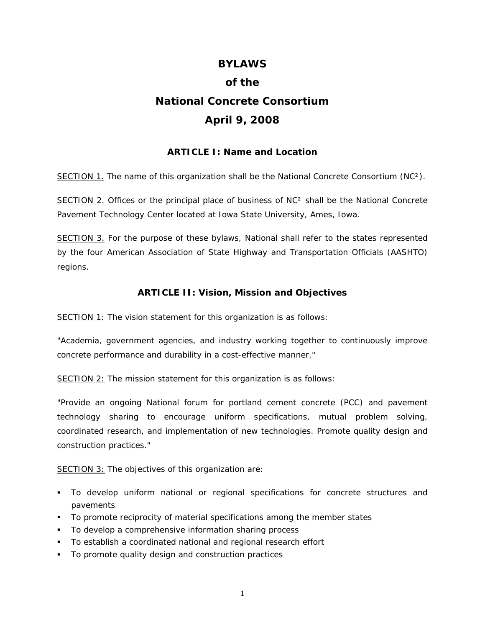# **BYLAWS of the National Concrete Consortium April 9, 2008**

## **ARTICLE I: Name and Location**

SECTION 1. The name of this organization shall be the National Concrete Consortium (NC²).

SECTION 2. Offices or the principal place of business of NC<sup>2</sup> shall be the National Concrete Pavement Technology Center located at Iowa State University, Ames, Iowa.

SECTION 3. For the purpose of these bylaws, National shall refer to the states represented by the four American Association of State Highway and Transportation Officials (AASHTO) regions.

## **ARTICLE II: Vision, Mission and Objectives**

SECTION 1: The vision statement for this organization is as follows:

"Academia, government agencies, and industry working together to continuously improve concrete performance and durability in a cost-effective manner."

SECTION 2: The mission statement for this organization is as follows:

"Provide an ongoing National forum for portland cement concrete (PCC) and pavement technology sharing to encourage uniform specifications, mutual problem solving, coordinated research, and implementation of new technologies. Promote quality design and construction practices."

SECTION 3: The objectives of this organization are:

- To develop uniform national or regional specifications for concrete structures and pavements
- To promote reciprocity of material specifications among the member states
- To develop a comprehensive information sharing process
- To establish a coordinated national and regional research effort
- To promote quality design and construction practices

1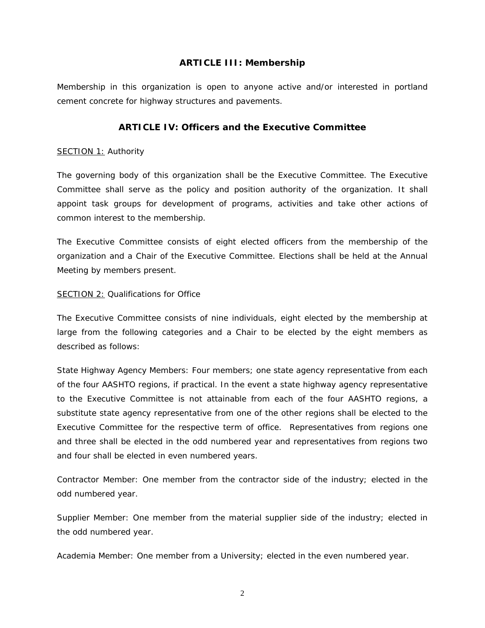## **ARTICLE III: Membership**

Membership in this organization is open to anyone active and/or interested in portland cement concrete for highway structures and pavements.

# **ARTICLE IV: Officers and the Executive Committee**

#### SECTION 1: Authority

The governing body of this organization shall be the Executive Committee. The Executive Committee shall serve as the policy and position authority of the organization. It shall appoint task groups for development of programs, activities and take other actions of common interest to the membership.

The Executive Committee consists of eight elected officers from the membership of the organization and a Chair of the Executive Committee. Elections shall be held at the Annual Meeting by members present.

## SECTION 2: Qualifications for Office

The Executive Committee consists of nine individuals, eight elected by the membership at large from the following categories and a Chair to be elected by the eight members as described as follows:

State Highway Agency Members: Four members; one state agency representative from each of the four AASHTO regions, if practical. In the event a state highway agency representative to the Executive Committee is not attainable from each of the four AASHTO regions, a substitute state agency representative from one of the other regions shall be elected to the Executive Committee for the respective term of office. Representatives from regions one and three shall be elected in the odd numbered year and representatives from regions two and four shall be elected in even numbered years.

Contractor Member: One member from the contractor side of the industry; elected in the odd numbered year.

Supplier Member: One member from the material supplier side of the industry; elected in the odd numbered year.

Academia Member: One member from a University; elected in the even numbered year.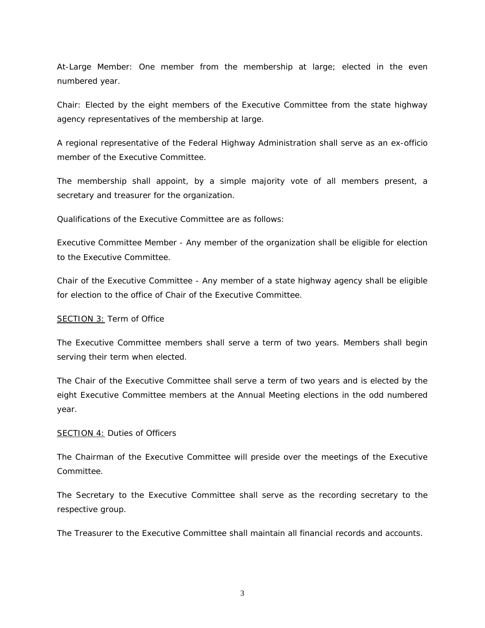At-Large Member: One member from the membership at large; elected in the even numbered year.

Chair: Elected by the eight members of the Executive Committee from the state highway agency representatives of the membership at large.

A regional representative of the Federal Highway Administration shall serve as an ex-officio member of the Executive Committee.

The membership shall appoint, by a simple majority vote of all members present, a secretary and treasurer for the organization.

Qualifications of the Executive Committee are as follows:

Executive Committee Member - Any member of the organization shall be eligible for election to the Executive Committee.

Chair of the Executive Committee - Any member of a state highway agency shall be eligible for election to the office of Chair of the Executive Committee.

#### SECTION 3: Term of Office

The Executive Committee members shall serve a term of two years. Members shall begin serving their term when elected.

The Chair of the Executive Committee shall serve a term of two years and is elected by the eight Executive Committee members at the Annual Meeting elections in the odd numbered year.

#### SECTION 4: Duties of Officers

The Chairman of the Executive Committee will preside over the meetings of the Executive Committee.

The Secretary to the Executive Committee shall serve as the recording secretary to the respective group.

The Treasurer to the Executive Committee shall maintain all financial records and accounts.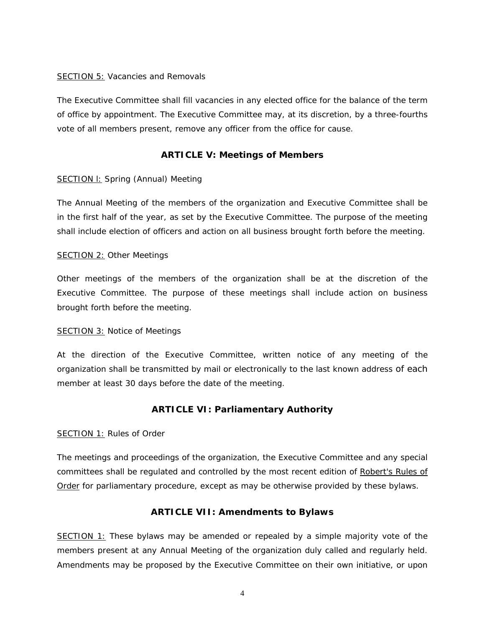#### SECTION 5: Vacancies and Removals

The Executive Committee shall fill vacancies in any elected office for the balance of the term of office by appointment. The Executive Committee may, at its discretion, by a three-fourths vote of all members present, remove any officer from the office for cause.

# **ARTICLE V: Meetings of Members**

#### SECTION I: Spring (Annual) Meeting

The Annual Meeting of the members of the organization and Executive Committee shall be in the first half of the year, as set by the Executive Committee. The purpose of the meeting shall include election of officers and action on all business brought forth before the meeting.

#### SECTION 2: Other Meetings

Other meetings of the members of the organization shall be at the discretion of the Executive Committee. The purpose of these meetings shall include action on business brought forth before the meeting.

#### SECTION 3: Notice of Meetings

At the direction of the Executive Committee, written notice of any meeting of the organization shall be transmitted by mail or electronically to the last known address of each member at least 30 days before the date of the meeting.

# **ARTICLE VI: Parliamentary Authority**

#### SECTION 1: Rules of Order

The meetings and proceedings of the organization, the Executive Committee and any special committees shall be regulated and controlled by the most recent edition of Robert's Rules of Order for parliamentary procedure, except as may be otherwise provided by these bylaws.

## **ARTICLE VII: Amendments to Bylaws**

SECTION 1: These bylaws may be amended or repealed by a simple majority vote of the members present at any Annual Meeting of the organization duly called and regularly held. Amendments may be proposed by the Executive Committee on their own initiative, or upon